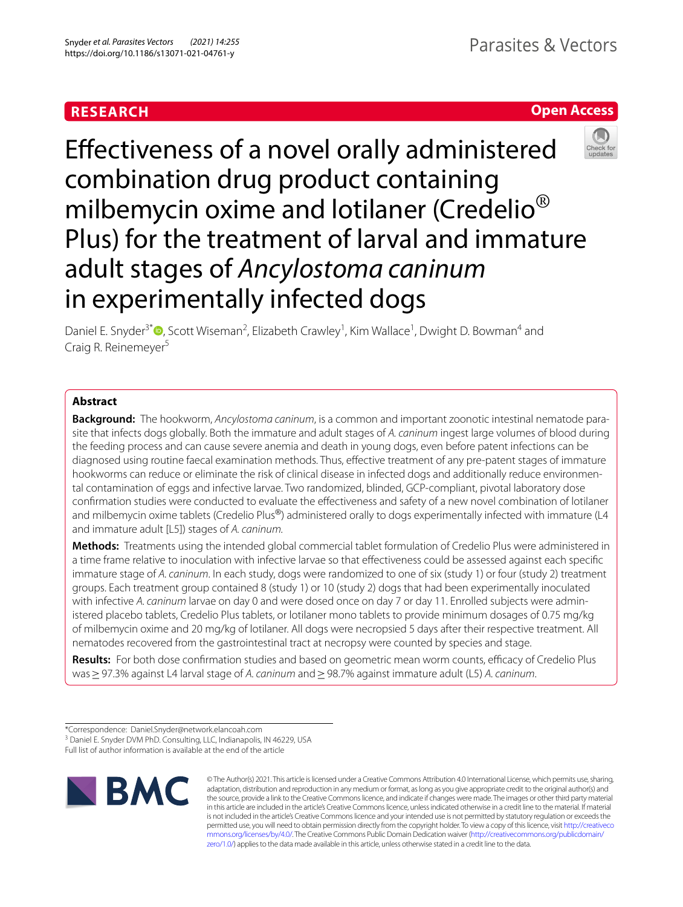# **RESEARCH**

## **Open Access**



Efectiveness of a novel orally administered combination drug product containing milbemycin oxime and lotilaner (Credelio<sup>®</sup> Plus) for the treatment of larval and immature adult stages of *Ancylostoma caninum* in experimentally infected dogs

Daniel E. Snyder<sup>3\*</sup><sup>®</sup>[,](http://orcid.org/0000-0002-4091-6297) Scott Wiseman<sup>2</sup>, Elizabeth Crawley<sup>1</sup>, Kim Wallace<sup>1</sup>, Dwight D. Bowman<sup>4</sup> and Craig R. Reinemeyer<sup>5</sup>

## **Abstract**

**Background:** The hookworm, *Ancylostoma caninum*, is a common and important zoonotic intestinal nematode parasite that infects dogs globally. Both the immature and adult stages of *A. caninum* ingest large volumes of blood during the feeding process and can cause severe anemia and death in young dogs, even before patent infections can be diagnosed using routine faecal examination methods. Thus, efective treatment of any pre-patent stages of immature hookworms can reduce or eliminate the risk of clinical disease in infected dogs and additionally reduce environmental contamination of eggs and infective larvae. Two randomized, blinded, GCP-compliant, pivotal laboratory dose confrmation studies were conducted to evaluate the efectiveness and safety of a new novel combination of lotilaner and milbemycin oxime tablets (Credelio Plus®) administered orally to dogs experimentally infected with immature (L4 and immature adult [L5]) stages of *A. caninum.*

**Methods:** Treatments using the intended global commercial tablet formulation of Credelio Plus were administered in a time frame relative to inoculation with infective larvae so that efectiveness could be assessed against each specifc immature stage of *A. caninum*. In each study, dogs were randomized to one of six (study 1) or four (study 2) treatment groups. Each treatment group contained 8 (study 1) or 10 (study 2) dogs that had been experimentally inoculated with infective *A. caninum* larvae on day 0 and were dosed once on day 7 or day 11. Enrolled subjects were administered placebo tablets, Credelio Plus tablets, or lotilaner mono tablets to provide minimum dosages of 0.75 mg/kg of milbemycin oxime and 20 mg/kg of lotilaner. All dogs were necropsied 5 days after their respective treatment. All nematodes recovered from the gastrointestinal tract at necropsy were counted by species and stage.

Results: For both dose confirmation studies and based on geometric mean worm counts, efficacy of Credelio Plus was≥97.3% against L4 larval stage of *A. caninum* and≥98.7% against immature adult (L5) *A. caninum*.

Full list of author information is available at the end of the article



© The Author(s) 2021. This article is licensed under a Creative Commons Attribution 4.0 International License, which permits use, sharing, adaptation, distribution and reproduction in any medium or format, as long as you give appropriate credit to the original author(s) and the source, provide a link to the Creative Commons licence, and indicate if changes were made. The images or other third party material in this article are included in the article's Creative Commons licence, unless indicated otherwise in a credit line to the material. If material is not included in the article's Creative Commons licence and your intended use is not permitted by statutory regulation or exceeds the permitted use, you will need to obtain permission directly from the copyright holder. To view a copy of this licence, visit [http://creativeco](http://creativecommons.org/licenses/by/4.0/) [mmons.org/licenses/by/4.0/.](http://creativecommons.org/licenses/by/4.0/) The Creative Commons Public Domain Dedication waiver ([http://creativecommons.org/publicdomain/](http://creativecommons.org/publicdomain/zero/1.0/) [zero/1.0/\)](http://creativecommons.org/publicdomain/zero/1.0/) applies to the data made available in this article, unless otherwise stated in a credit line to the data.

<sup>\*</sup>Correspondence: Daniel.Snyder@network.elancoah.com

<sup>&</sup>lt;sup>3</sup> Daniel E. Snyder DVM PhD. Consulting, LLC, Indianapolis, IN 46229, USA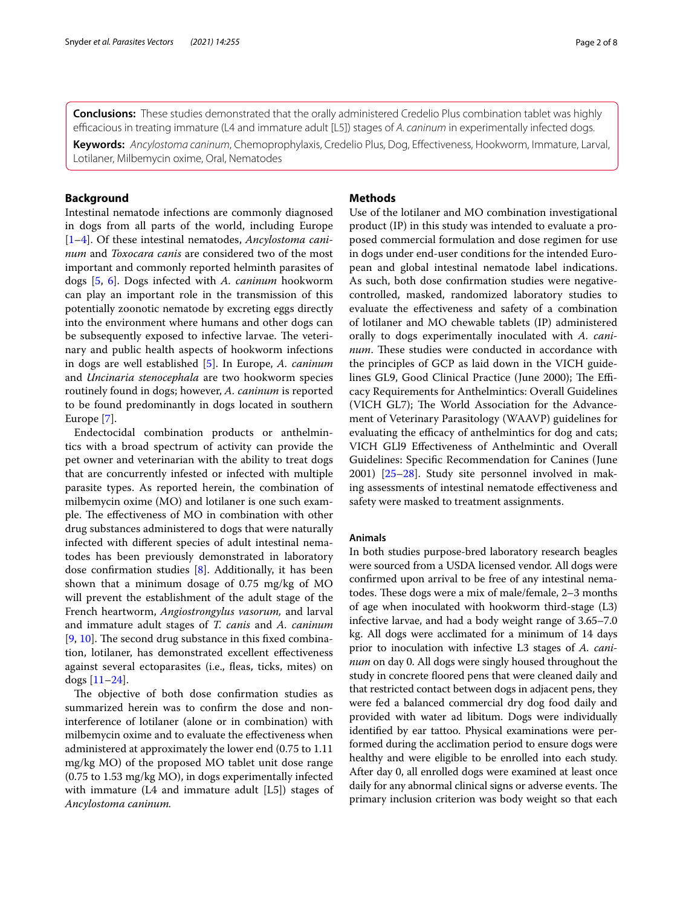**Conclusions:** These studies demonstrated that the orally administered Credelio Plus combination tablet was highly efficacious in treating immature (L4 and immature adult [L5]) stages of *A. caninum* in experimentally infected dogs.

**Keywords:** *Ancylostoma caninum*, Chemoprophylaxis, Credelio Plus, Dog, Efectiveness, Hookworm, Immature, Larval, Lotilaner, Milbemycin oxime, Oral, Nematodes

### **Background**

Intestinal nematode infections are commonly diagnosed in dogs from all parts of the world, including Europe [[1–](#page-6-0)[4\]](#page-6-1). Of these intestinal nematodes, *Ancylostoma caninum* and *Toxocara canis* are considered two of the most important and commonly reported helminth parasites of dogs [[5,](#page-7-0) [6\]](#page-7-1). Dogs infected with *A. caninum* hookworm can play an important role in the transmission of this potentially zoonotic nematode by excreting eggs directly into the environment where humans and other dogs can be subsequently exposed to infective larvae. The veterinary and public health aspects of hookworm infections in dogs are well established [\[5\]](#page-7-0). In Europe, *A. caninum* and *Uncinaria stenocephala* are two hookworm species routinely found in dogs; however, *A. caninum* is reported to be found predominantly in dogs located in southern Europe [[7](#page-7-2)].

Endectocidal combination products or anthelmintics with a broad spectrum of activity can provide the pet owner and veterinarian with the ability to treat dogs that are concurrently infested or infected with multiple parasite types. As reported herein, the combination of milbemycin oxime (MO) and lotilaner is one such example. The effectiveness of MO in combination with other drug substances administered to dogs that were naturally infected with diferent species of adult intestinal nematodes has been previously demonstrated in laboratory dose confrmation studies [\[8](#page-7-3)]. Additionally, it has been shown that a minimum dosage of 0.75 mg/kg of MO will prevent the establishment of the adult stage of the French heartworm, *Angiostrongylus vasorum,* and larval and immature adult stages of *T. canis* and *A. caninum* [[9,](#page-7-4) [10](#page-7-5)]. The second drug substance in this fixed combination, lotilaner, has demonstrated excellent efectiveness against several ectoparasites (i.e., feas, ticks, mites) on dogs [\[11](#page-7-6)[–24\]](#page-7-7).

The objective of both dose confirmation studies as summarized herein was to confrm the dose and noninterference of lotilaner (alone or in combination) with milbemycin oxime and to evaluate the efectiveness when administered at approximately the lower end (0.75 to 1.11 mg/kg MO) of the proposed MO tablet unit dose range (0.75 to 1.53 mg/kg MO), in dogs experimentally infected with immature (L4 and immature adult [L5]) stages of *Ancylostoma caninum.*

### **Methods**

Use of the lotilaner and MO combination investigational product (IP) in this study was intended to evaluate a proposed commercial formulation and dose regimen for use in dogs under end-user conditions for the intended European and global intestinal nematode label indications. As such, both dose confrmation studies were negativecontrolled, masked, randomized laboratory studies to evaluate the efectiveness and safety of a combination of lotilaner and MO chewable tablets (IP) administered orally to dogs experimentally inoculated with *A. caninum*. These studies were conducted in accordance with the principles of GCP as laid down in the VICH guidelines GL9, Good Clinical Practice (June 2000); The Efficacy Requirements for Anthelmintics: Overall Guidelines (VICH GL7); The World Association for the Advancement of Veterinary Parasitology (WAAVP) guidelines for evaluating the efficacy of anthelmintics for dog and cats; VICH GLl9 Efectiveness of Anthelmintic and Overall Guidelines: Specifc Recommendation for Canines (June 2001) [[25–](#page-7-8)[28](#page-7-9)]. Study site personnel involved in making assessments of intestinal nematode efectiveness and safety were masked to treatment assignments.

### **Animals**

In both studies purpose-bred laboratory research beagles were sourced from a USDA licensed vendor. All dogs were confrmed upon arrival to be free of any intestinal nematodes. These dogs were a mix of male/female, 2-3 months of age when inoculated with hookworm third-stage (L3) infective larvae, and had a body weight range of 3.65–7.0 kg. All dogs were acclimated for a minimum of 14 days prior to inoculation with infective L3 stages of *A. caninum* on day 0. All dogs were singly housed throughout the study in concrete floored pens that were cleaned daily and that restricted contact between dogs in adjacent pens, they were fed a balanced commercial dry dog food daily and provided with water ad libitum. Dogs were individually identifed by ear tattoo. Physical examinations were performed during the acclimation period to ensure dogs were healthy and were eligible to be enrolled into each study. After day 0, all enrolled dogs were examined at least once daily for any abnormal clinical signs or adverse events. The primary inclusion criterion was body weight so that each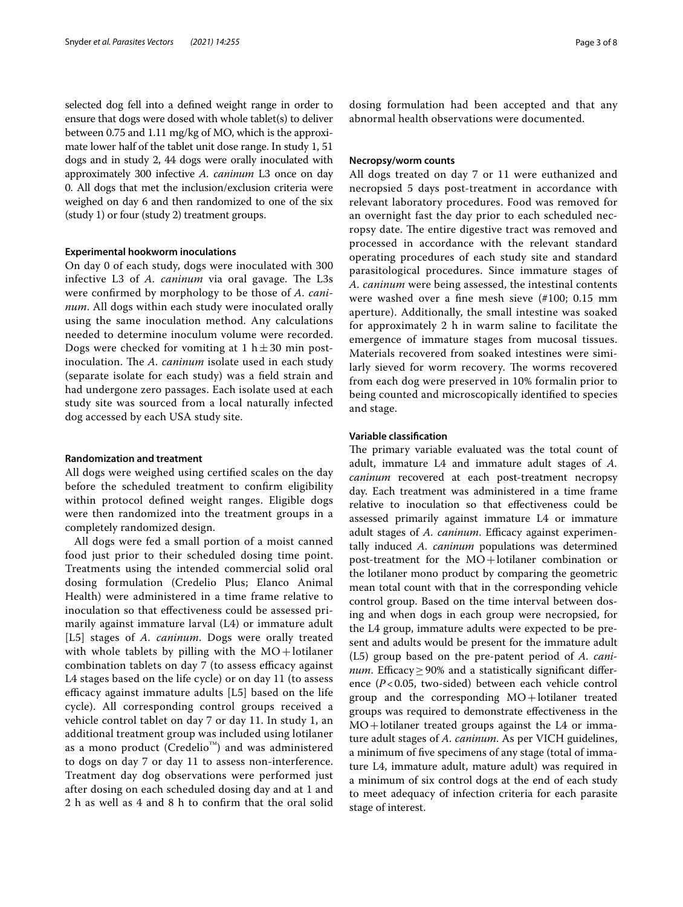selected dog fell into a defned weight range in order to ensure that dogs were dosed with whole tablet(s) to deliver between 0.75 and 1.11 mg/kg of MO, which is the approximate lower half of the tablet unit dose range. In study 1, 51 dogs and in study 2, 44 dogs were orally inoculated with approximately 300 infective *A. caninum* L3 once on day 0. All dogs that met the inclusion/exclusion criteria were weighed on day 6 and then randomized to one of the six (study 1) or four (study 2) treatment groups.

### **Experimental hookworm inoculations**

On day 0 of each study, dogs were inoculated with 300 infective L3 of *A. caninum* via oral gavage. The L3s were confrmed by morphology to be those of *A. caninum*. All dogs within each study were inoculated orally using the same inoculation method. Any calculations needed to determine inoculum volume were recorded. Dogs were checked for vomiting at  $1 h \pm 30$  min postinoculation. The *A. caninum* isolate used in each study (separate isolate for each study) was a feld strain and had undergone zero passages. Each isolate used at each study site was sourced from a local naturally infected dog accessed by each USA study site.

### **Randomization and treatment**

All dogs were weighed using certifed scales on the day before the scheduled treatment to confrm eligibility within protocol defned weight ranges. Eligible dogs were then randomized into the treatment groups in a completely randomized design.

All dogs were fed a small portion of a moist canned food just prior to their scheduled dosing time point. Treatments using the intended commercial solid oral dosing formulation (Credelio Plus; Elanco Animal Health) were administered in a time frame relative to inoculation so that efectiveness could be assessed primarily against immature larval (L4) or immature adult [L5] stages of *A. caninum*. Dogs were orally treated with whole tablets by pilling with the  $MO +$  lotilaner combination tablets on day 7 (to assess efficacy against L4 stages based on the life cycle) or on day 11 (to assess efficacy against immature adults  $[L5]$  based on the life cycle). All corresponding control groups received a vehicle control tablet on day 7 or day 11. In study 1, an additional treatment group was included using lotilaner as a mono product (Credelio™) and was administered to dogs on day 7 or day 11 to assess non-interference. Treatment day dog observations were performed just after dosing on each scheduled dosing day and at 1 and 2 h as well as 4 and 8 h to confrm that the oral solid

dosing formulation had been accepted and that any abnormal health observations were documented.

### **Necropsy/worm counts**

All dogs treated on day 7 or 11 were euthanized and necropsied 5 days post-treatment in accordance with relevant laboratory procedures. Food was removed for an overnight fast the day prior to each scheduled necropsy date. The entire digestive tract was removed and processed in accordance with the relevant standard operating procedures of each study site and standard parasitological procedures. Since immature stages of *A. caninum* were being assessed, the intestinal contents were washed over a fne mesh sieve (#100; 0.15 mm aperture). Additionally, the small intestine was soaked for approximately 2 h in warm saline to facilitate the emergence of immature stages from mucosal tissues. Materials recovered from soaked intestines were similarly sieved for worm recovery. The worms recovered from each dog were preserved in 10% formalin prior to being counted and microscopically identifed to species and stage.

### **Variable classifcation**

The primary variable evaluated was the total count of adult, immature L4 and immature adult stages of *A. caninum* recovered at each post-treatment necropsy day. Each treatment was administered in a time frame relative to inoculation so that efectiveness could be assessed primarily against immature L4 or immature adult stages of *A. caninum*. Efficacy against experimentally induced *A. caninum* populations was determined post-treatment for the MO+lotilaner combination or the lotilaner mono product by comparing the geometric mean total count with that in the corresponding vehicle control group. Based on the time interval between dosing and when dogs in each group were necropsied, for the L4 group, immature adults were expected to be present and adults would be present for the immature adult (L5) group based on the pre-patent period of *A. caninum*. Efficacy  $\geq$  90% and a statistically significant difference (*P*<0.05, two-sided) between each vehicle control group and the corresponding MO+lotilaner treated groups was required to demonstrate efectiveness in the MO+lotilaner treated groups against the L4 or immature adult stages of *A. caninum*. As per VICH guidelines, a minimum of fve specimens of any stage (total of immature L4, immature adult, mature adult) was required in a minimum of six control dogs at the end of each study to meet adequacy of infection criteria for each parasite stage of interest.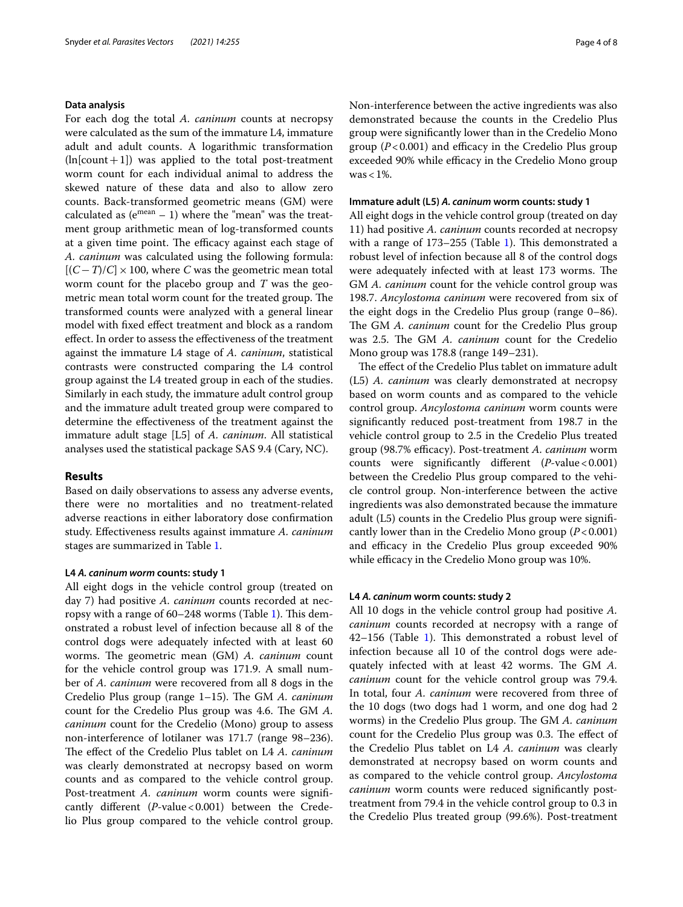### **Data analysis**

For each dog the total *A. caninum* counts at necropsy were calculated as the sum of the immature L4, immature adult and adult counts. A logarithmic transformation  $(ln[count+1])$  was applied to the total post-treatment worm count for each individual animal to address the skewed nature of these data and also to allow zero counts. Back-transformed geometric means (GM) were calculated as  $(e^{mean} - 1)$  where the "mean" was the treatment group arithmetic mean of log-transformed counts at a given time point. The efficacy against each stage of *A. caninum* was calculated using the following formula: [(*C*−*T*)/*C*]×100, where *C* was the geometric mean total worm count for the placebo group and *T* was the geometric mean total worm count for the treated group. The transformed counts were analyzed with a general linear model with fxed efect treatment and block as a random efect. In order to assess the efectiveness of the treatment against the immature L4 stage of *A. caninum*, statistical contrasts were constructed comparing the L4 control group against the L4 treated group in each of the studies. Similarly in each study, the immature adult control group and the immature adult treated group were compared to determine the efectiveness of the treatment against the immature adult stage [L5] of *A. caninum*. All statistical analyses used the statistical package SAS 9.4 (Cary, NC).

### **Results**

Based on daily observations to assess any adverse events, there were no mortalities and no treatment-related adverse reactions in either laboratory dose confrmation study. Efectiveness results against immature *A. caninum* stages are summarized in Table [1](#page-4-0).

### **L4** *A. caninum worm* **counts: study 1**

All eight dogs in the vehicle control group (treated on day 7) had positive *A. caninum* counts recorded at necropsy with a range of  $60-248$  worms (Table [1](#page-4-0)). This demonstrated a robust level of infection because all 8 of the control dogs were adequately infected with at least 60 worms. The geometric mean (GM) A. caninum count for the vehicle control group was 171.9. A small number of *A. caninum* were recovered from all 8 dogs in the Credelio Plus group (range 1–15). The GM *A. caninum* count for the Credelio Plus group was 4.6. The GM A. *caninum* count for the Credelio (Mono) group to assess non-interference of lotilaner was 171.7 (range 98–236). The effect of the Credelio Plus tablet on L4 *A. caninum* was clearly demonstrated at necropsy based on worm counts and as compared to the vehicle control group. Post-treatment *A. caninum* worm counts were signifcantly different (*P*-value < 0.001) between the Credelio Plus group compared to the vehicle control group. Non-interference between the active ingredients was also demonstrated because the counts in the Credelio Plus group were signifcantly lower than in the Credelio Mono group  $(P<0.001)$  and efficacy in the Credelio Plus group exceeded 90% while efficacy in the Credelio Mono group  $was < 1\%$ .

### **Immature adult (L5)** *A. caninum* **worm counts: study 1**

All eight dogs in the vehicle control group (treated on day 11) had positive *A. caninum* counts recorded at necropsy with a range of  $173-255$  $173-255$  (Table 1). This demonstrated a robust level of infection because all 8 of the control dogs were adequately infected with at least 173 worms. The GM *A. caninum* count for the vehicle control group was 198.7. *Ancylostoma caninum* were recovered from six of the eight dogs in the Credelio Plus group (range 0–86). The GM *A. caninum* count for the Credelio Plus group was 2.5. The GM A. caninum count for the Credelio Mono group was 178.8 (range 149–231).

The effect of the Credelio Plus tablet on immature adult (L5) *A. caninum* was clearly demonstrated at necropsy based on worm counts and as compared to the vehicle control group. *Ancylostoma caninum* worm counts were signifcantly reduced post-treatment from 198.7 in the vehicle control group to 2.5 in the Credelio Plus treated group (98.7% efficacy). Post-treatment *A. caninum* worm counts were significantly different (*P*-value < 0.001) between the Credelio Plus group compared to the vehicle control group. Non-interference between the active ingredients was also demonstrated because the immature adult (L5) counts in the Credelio Plus group were signifcantly lower than in the Credelio Mono group  $(P<0.001)$ and efficacy in the Credelio Plus group exceeded 90% while efficacy in the Credelio Mono group was 10%.

#### **L4** *A. caninum* **worm counts: study 2**

All 10 dogs in the vehicle control group had positive *A. caninum* counts recorded at necropsy with a range of 42–156 (Table [1\)](#page-4-0). This demonstrated a robust level of infection because all 10 of the control dogs were adequately infected with at least 42 worms. The GM A. *caninum* count for the vehicle control group was 79.4. In total, four *A. caninum* were recovered from three of the 10 dogs (two dogs had 1 worm, and one dog had 2 worms) in the Credelio Plus group. The GM *A. caninum* count for the Credelio Plus group was 0.3. The effect of the Credelio Plus tablet on L4 *A. caninum* was clearly demonstrated at necropsy based on worm counts and as compared to the vehicle control group. *Ancylostoma caninum* worm counts were reduced signifcantly posttreatment from 79.4 in the vehicle control group to 0.3 in the Credelio Plus treated group (99.6%). Post-treatment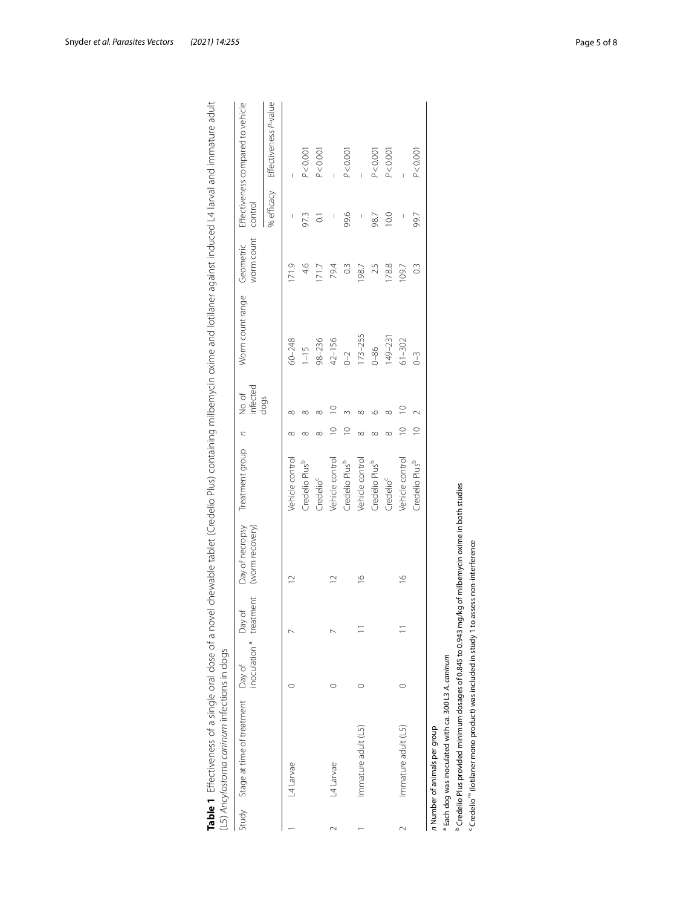| Table 1 Effectiveness of a single oral dose of a novel chewable tablet (Credelio Plus) containing milbemycin oxime and lotilaner against induced L4 larval and immatule adult<br>(L5) Ancylostoma caninum infections in dogs |                                    |        |                                    |                            |             |                   |                  |                         |                |                                   |
|------------------------------------------------------------------------------------------------------------------------------------------------------------------------------------------------------------------------------|------------------------------------|--------|------------------------------------|----------------------------|-------------|-------------------|------------------|-------------------------|----------------|-----------------------------------|
| Study Stage at time of treatment Day of                                                                                                                                                                                      | inoculation <sup>a</sup> treatment | Day of | (worm recovery)<br>Day of necropsy | Treatment group            | C           | infected<br>No.of | Worm count range | worm count<br>Geometric | control        | Effectiveness compared to vehicle |
|                                                                                                                                                                                                                              |                                    |        |                                    |                            |             | dogs              |                  |                         | % efficacy     | Effectiveness P-value             |
| L4 Larvae                                                                                                                                                                                                                    |                                    |        | $\overline{1}$                     | Vehicle control            | ∞           | ∞                 | $60 - 248$       | 171.9                   |                |                                   |
|                                                                                                                                                                                                                              |                                    |        |                                    | Credelio Plus <sup>b</sup> | ∞           | $\infty$          | $1 - 15$         | $\frac{6}{4}$           | 97.3           | P < 0.001                         |
|                                                                                                                                                                                                                              |                                    |        |                                    | Credelio <sup>c</sup>      | ∞           |                   | $98 - 236$       | 71.7                    | $\overline{C}$ | P < 0.001                         |
| L4 Larvae                                                                                                                                                                                                                    |                                    |        |                                    | Vehicle control            |             |                   | 42-156           | 79.4                    |                |                                   |
|                                                                                                                                                                                                                              |                                    |        |                                    | Credelio Plus <sup>b</sup> |             |                   | $0 - 2$          | $\frac{3}{2}$           | 9.6            | P < 0.001                         |
| Immature adult (L5)                                                                                                                                                                                                          | O                                  |        | $\frac{6}{1}$                      | Vehicle control            | $\infty$    | $\infty$          | $173 - 255$      | 198.7                   |                |                                   |
|                                                                                                                                                                                                                              |                                    |        |                                    | Credelio Plusb             | $\infty$    | ৩                 | $0 - 86$         | 2.5                     | 98.7           | P < 0.001                         |
|                                                                                                                                                                                                                              |                                    |        |                                    | Credelio <sup>c</sup>      | $\infty$    | $\infty$          | $149 - 23$       | 178.8                   | 10.0           | P < 0.001                         |
| Immature adult (L5)                                                                                                                                                                                                          | O                                  |        | $\frac{6}{1}$                      | Vehicle control            | $\supseteq$ |                   | $61 - 302$       | 109.7                   |                |                                   |
|                                                                                                                                                                                                                              |                                    |        |                                    | Credelio Plus <sup>b</sup> | $\supseteq$ |                   | $\sqrt{1}$       | $\frac{3}{2}$           | 566            | P < 0.00                          |
| n Number of animals per group                                                                                                                                                                                                |                                    |        |                                    |                            |             |                   |                  |                         |                |                                   |
| <sup>a</sup> Each dog was inoculated with ca. 300 L3 A. caninum                                                                                                                                                              |                                    |        |                                    |                            |             |                   |                  |                         |                |                                   |
| <sup>b</sup> Credelio Plus provided minimum dosages of 0.845 to 0.943 mg/kg of milbemycin oxime in both studies                                                                                                              |                                    |        |                                    |                            |             |                   |                  |                         |                |                                   |
| <sup>c</sup> Credelio <sup>" M</sup> (lotilaner mono product) was included in study 1 to assess non-interference                                                                                                             |                                    |        |                                    |                            |             |                   |                  |                         |                |                                   |

<span id="page-4-0"></span>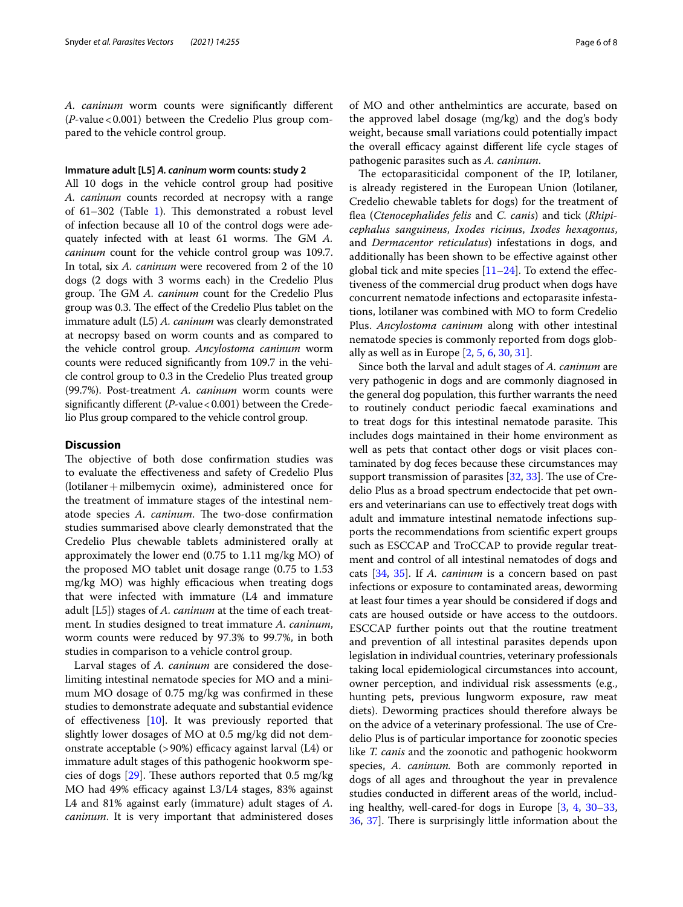*A. caninum* worm counts were signifcantly diferent (*P*-value<0.001) between the Credelio Plus group compared to the vehicle control group.

#### **Immature adult [L5]** *A. caninum* **worm counts: study 2**

All 10 dogs in the vehicle control group had positive *A. caninum* counts recorded at necropsy with a range of 6[1](#page-4-0)–302 (Table 1). This demonstrated a robust level of infection because all 10 of the control dogs were adequately infected with at least 61 worms. The GM *A*. *caninum* count for the vehicle control group was 109.7. In total, six *A. caninum* were recovered from 2 of the 10 dogs (2 dogs with 3 worms each) in the Credelio Plus group. The GM A. caninum count for the Credelio Plus group was 0.3. The effect of the Credelio Plus tablet on the immature adult (L5) *A. caninum* was clearly demonstrated at necropsy based on worm counts and as compared to the vehicle control group. *Ancylostoma caninum* worm counts were reduced signifcantly from 109.7 in the vehicle control group to 0.3 in the Credelio Plus treated group (99.7%). Post-treatment *A. caninum* worm counts were significantly different (*P*-value < 0.001) between the Credelio Plus group compared to the vehicle control group.

### **Discussion**

The objective of both dose confirmation studies was to evaluate the efectiveness and safety of Credelio Plus (lotilaner+milbemycin oxime), administered once for the treatment of immature stages of the intestinal nematode species *A. caninum*. The two-dose confirmation studies summarised above clearly demonstrated that the Credelio Plus chewable tablets administered orally at approximately the lower end (0.75 to 1.11 mg/kg MO) of the proposed MO tablet unit dosage range (0.75 to 1.53  $mg/kg$  MO) was highly efficacious when treating dogs that were infected with immature (L4 and immature adult [L5]) stages of *A. caninum* at the time of each treatment*.* In studies designed to treat immature *A. caninum*, worm counts were reduced by 97.3% to 99.7%, in both studies in comparison to a vehicle control group.

Larval stages of *A. caninum* are considered the doselimiting intestinal nematode species for MO and a minimum MO dosage of 0.75 mg/kg was confrmed in these studies to demonstrate adequate and substantial evidence of efectiveness [[10\]](#page-7-5). It was previously reported that slightly lower dosages of MO at 0.5 mg/kg did not demonstrate acceptable (>90%) efficacy against larval (L4) or immature adult stages of this pathogenic hookworm species of dogs  $[29]$  $[29]$ . These authors reported that 0.5 mg/kg MO had 49% efficacy against L3/L4 stages, 83% against L4 and 81% against early (immature) adult stages of *A. caninum*. It is very important that administered doses

of MO and other anthelmintics are accurate, based on the approved label dosage (mg/kg) and the dog's body weight, because small variations could potentially impact the overall efficacy against different life cycle stages of pathogenic parasites such as *A. caninum*.

The ectoparasiticidal component of the IP, lotilaner, is already registered in the European Union (lotilaner, Credelio chewable tablets for dogs) for the treatment of fea (*Ctenocephalides felis* and *C. canis*) and tick (*Rhipicephalus sanguineus*, *Ixodes ricinus*, *Ixodes hexagonus*, and *Dermacentor reticulatus*) infestations in dogs, and additionally has been shown to be efective against other global tick and mite species  $[11–24]$  $[11–24]$  $[11–24]$  $[11–24]$ . To extend the effectiveness of the commercial drug product when dogs have concurrent nematode infections and ectoparasite infestations, lotilaner was combined with MO to form Credelio Plus. *Ancylostoma caninum* along with other intestinal nematode species is commonly reported from dogs globally as well as in Europe [\[2](#page-6-2), [5,](#page-7-0) [6](#page-7-1), [30,](#page-7-11) [31](#page-7-12)].

Since both the larval and adult stages of *A. caninum* are very pathogenic in dogs and are commonly diagnosed in the general dog population, this further warrants the need to routinely conduct periodic faecal examinations and to treat dogs for this intestinal nematode parasite. This includes dogs maintained in their home environment as well as pets that contact other dogs or visit places contaminated by dog feces because these circumstances may support transmission of parasites  $[32, 33]$  $[32, 33]$  $[32, 33]$  $[32, 33]$ . The use of Credelio Plus as a broad spectrum endectocide that pet owners and veterinarians can use to efectively treat dogs with adult and immature intestinal nematode infections supports the recommendations from scientifc expert groups such as ESCCAP and TroCCAP to provide regular treatment and control of all intestinal nematodes of dogs and cats [[34](#page-7-15), [35](#page-7-16)]. If *A. caninum* is a concern based on past infections or exposure to contaminated areas, deworming at least four times a year should be considered if dogs and cats are housed outside or have access to the outdoors. ESCCAP further points out that the routine treatment and prevention of all intestinal parasites depends upon legislation in individual countries, veterinary professionals taking local epidemiological circumstances into account, owner perception, and individual risk assessments (e.g., hunting pets, previous lungworm exposure, raw meat diets). Deworming practices should therefore always be on the advice of a veterinary professional. The use of Credelio Plus is of particular importance for zoonotic species like *T. canis* and the zoonotic and pathogenic hookworm species, *A. caninum.* Both are commonly reported in dogs of all ages and throughout the year in prevalence studies conducted in diferent areas of the world, including healthy, well-cared-for dogs in Europe [[3,](#page-6-3) [4,](#page-6-1) [30–](#page-7-11)[33](#page-7-14), [36](#page-7-17), [37\]](#page-7-18). There is surprisingly little information about the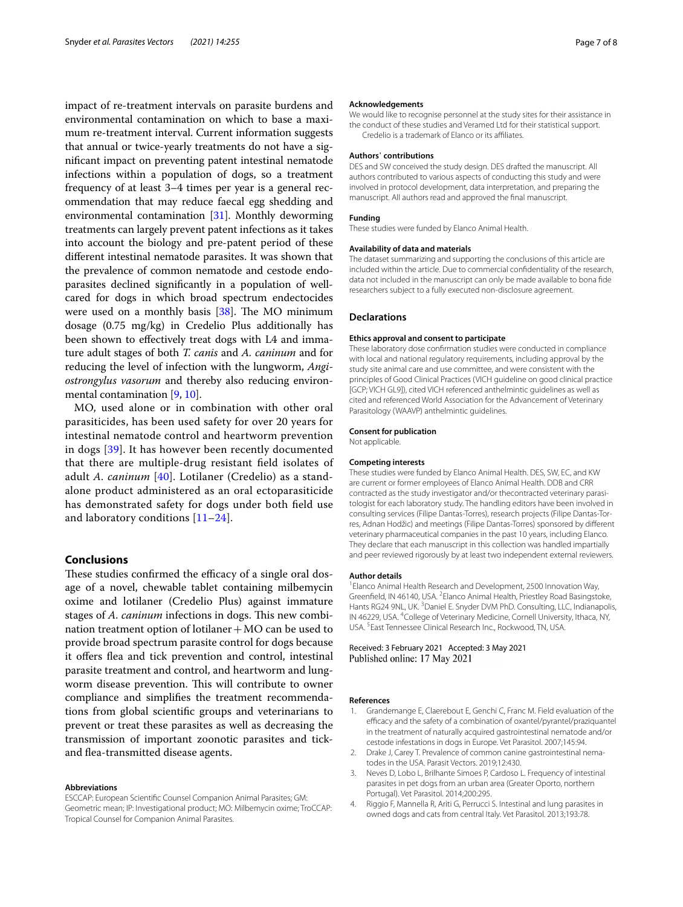impact of re-treatment intervals on parasite burdens and environmental contamination on which to base a maximum re-treatment interval. Current information suggests that annual or twice-yearly treatments do not have a signifcant impact on preventing patent intestinal nematode infections within a population of dogs, so a treatment frequency of at least 3–4 times per year is a general recommendation that may reduce faecal egg shedding and environmental contamination [\[31\]](#page-7-12). Monthly deworming treatments can largely prevent patent infections as it takes into account the biology and pre-patent period of these diferent intestinal nematode parasites. It was shown that the prevalence of common nematode and cestode endoparasites declined signifcantly in a population of wellcared for dogs in which broad spectrum endectocides were used on a monthly basis  $[38]$ . The MO minimum dosage (0.75 mg/kg) in Credelio Plus additionally has been shown to efectively treat dogs with L4 and immature adult stages of both *T. canis* and *A. caninum* and for reducing the level of infection with the lungworm, *Angiostrongylus vasorum* and thereby also reducing environmental contamination [[9](#page-7-4), [10\]](#page-7-5).

MO, used alone or in combination with other oral parasiticides, has been used safety for over 20 years for intestinal nematode control and heartworm prevention in dogs [[39\]](#page-7-20). It has however been recently documented that there are multiple-drug resistant feld isolates of adult *A. caninum* [\[40\]](#page-7-21). Lotilaner (Credelio) as a standalone product administered as an oral ectoparasiticide has demonstrated safety for dogs under both feld use and laboratory conditions [\[11](#page-7-6)[–24\]](#page-7-7).

### **Conclusions**

These studies confirmed the efficacy of a single oral dosage of a novel, chewable tablet containing milbemycin oxime and lotilaner (Credelio Plus) against immature stages of *A. caninum* infections in dogs. This new combination treatment option of lotilaner  $+$  MO can be used to provide broad spectrum parasite control for dogs because it offers flea and tick prevention and control, intestinal parasite treatment and control, and heartworm and lungworm disease prevention. This will contribute to owner compliance and simplifes the treatment recommendations from global scientifc groups and veterinarians to prevent or treat these parasites as well as decreasing the transmission of important zoonotic parasites and tickand fea-transmitted disease agents.

#### **Abbreviations**

ESCCAP: European Scientifc Counsel Companion Animal Parasites; GM: Geometric mean; IP: Investigational product; MO: Milbemycin oxime; TroCCAP: Tropical Counsel for Companion Animal Parasites.

#### **Acknowledgements**

We would like to recognise personnel at the study sites for their assistance in the conduct of these studies and Veramed Ltd for their statistical support. Credelio is a trademark of Elanco or its afliates.

#### **Authors**' **contributions**

DES and SW conceived the study design. DES drafted the manuscript. All authors contributed to various aspects of conducting this study and were involved in protocol development, data interpretation, and preparing the manuscript. All authors read and approved the fnal manuscript.

#### **Funding**

These studies were funded by Elanco Animal Health.

#### **Availability of data and materials**

The dataset summarizing and supporting the conclusions of this article are included within the article. Due to commercial confdentiality of the research, data not included in the manuscript can only be made available to bona fde researchers subject to a fully executed non-disclosure agreement.

### **Declarations**

#### **Ethics approval and consent to participate**

These laboratory dose confrmation studies were conducted in compliance with local and national regulatory requirements, including approval by the study site animal care and use committee, and were consistent with the principles of Good Clinical Practices (VICH guideline on good clinical practice [GCP; VICH GL9]), cited VICH referenced anthelmintic guidelines as well as cited and referenced World Association for the Advancement of Veterinary Parasitology (WAAVP) anthelmintic guidelines.

#### **Consent for publication**

Not applicable.

### **Competing interests**

These studies were funded by Elanco Animal Health. DES, SW, EC, and KW are current or former employees of Elanco Animal Health. DDB and CRR contracted as the study investigator and/or thecontracted veterinary parasitologist for each laboratory study. The handling editors have been involved in consulting services (Filipe Dantas-Torres), research projects (Filipe Dantas-Torres, Adnan Hodžic) and meetings (Filipe Dantas-Torres) sponsored by diferent veterinary pharmaceutical companies in the past 10 years, including Elanco. They declare that each manuscript in this collection was handled impartially and peer reviewed rigorously by at least two independent external reviewers.

#### **Author details**

<sup>1</sup> Elanco Animal Health Research and Development, 2500 Innovation Way, Greenfield, IN 46140, USA. <sup>2</sup> Elanco Animal Health, Priestley Road Basingstoke, Hants RG24 9NL, UK.<sup>3</sup> Daniel E. Snyder DVM PhD. Consulting, LLC, Indianapolis, IN 46229, USA. <sup>4</sup> College of Veterinary Medicine, Cornell University, Ithaca, NY, USA. 5 East Tennessee Clinical Research Inc., Rockwood, TN, USA.

Received: 3 February 2021 Accepted: 3 May 2021 Published online: 17 May 2021

#### **References**

- <span id="page-6-0"></span>1. Grandemange E, Claerebout E, Genchi C, Franc M. Field evaluation of the efficacy and the safety of a combination of oxantel/pyrantel/praziquantel in the treatment of naturally acquired gastrointestinal nematode and/or cestode infestations in dogs in Europe. Vet Parasitol. 2007;145:94.
- <span id="page-6-2"></span>2. Drake J, Carey T. Prevalence of common canine gastrointestinal nematodes in the USA. Parasit Vectors. 2019;12:430.
- <span id="page-6-3"></span>3. Neves D, Lobo L, Brilhante Simoes P, Cardoso L. Frequency of intestinal parasites in pet dogs from an urban area (Greater Oporto, northern Portugal). Vet Parasitol. 2014;200:295.
- <span id="page-6-1"></span>4. Riggio F, Mannella R, Ariti G, Perrucci S. Intestinal and lung parasites in owned dogs and cats from central Italy. Vet Parasitol. 2013;193:78.